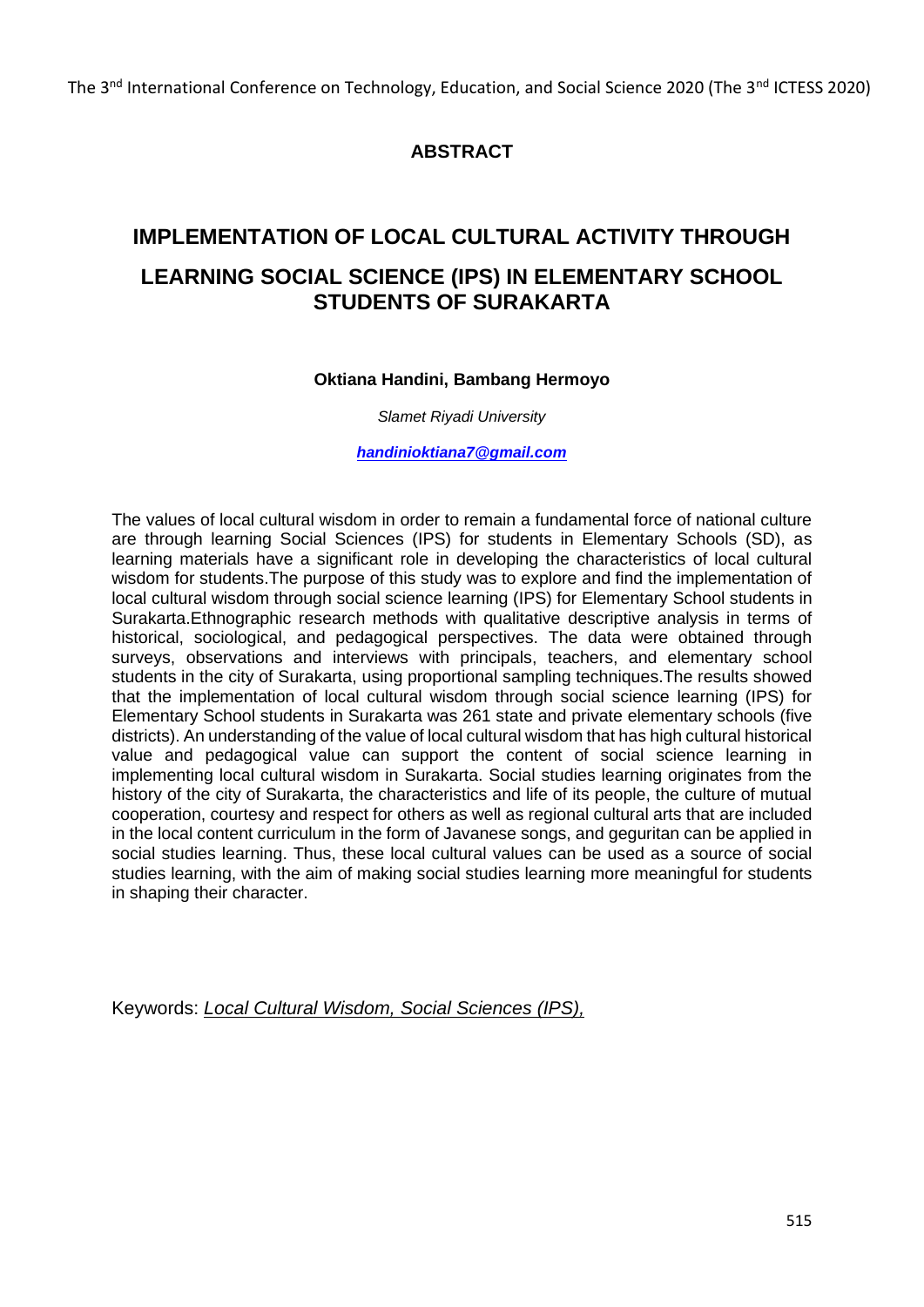The 3<sup>nd</sup> International Conference on Technology, Education, and Social Science 2020 (The 3<sup>nd</sup> ICTESS 2020)

# **ABSTRACT**

# **IMPLEMENTATION OF LOCAL CULTURAL ACTIVITY THROUGH LEARNING SOCIAL SCIENCE (IPS) IN ELEMENTARY SCHOOL STUDENTS OF SURAKARTA**

#### **Oktiana Handini, Bambang Hermoyo**

*Slamet Riyadi University*

*[handinioktiana7@gmail.com](mailto:handinioktiana7@gmail.com)*

The values of local cultural wisdom in order to remain a fundamental force of national culture are through learning Social Sciences (IPS) for students in Elementary Schools (SD), as learning materials have a significant role in developing the characteristics of local cultural wisdom for students.The purpose of this study was to explore and find the implementation of local cultural wisdom through social science learning (IPS) for Elementary School students in Surakarta.Ethnographic research methods with qualitative descriptive analysis in terms of historical, sociological, and pedagogical perspectives. The data were obtained through surveys, observations and interviews with principals, teachers, and elementary school students in the city of Surakarta, using proportional sampling techniques.The results showed that the implementation of local cultural wisdom through social science learning (IPS) for Elementary School students in Surakarta was 261 state and private elementary schools (five districts). An understanding of the value of local cultural wisdom that has high cultural historical value and pedagogical value can support the content of social science learning in implementing local cultural wisdom in Surakarta. Social studies learning originates from the history of the city of Surakarta, the characteristics and life of its people, the culture of mutual cooperation, courtesy and respect for others as well as regional cultural arts that are included in the local content curriculum in the form of Javanese songs, and geguritan can be applied in social studies learning. Thus, these local cultural values can be used as a source of social studies learning, with the aim of making social studies learning more meaningful for students in shaping their character.

Keywords: *Local Cultural Wisdom, Social Sciences (IPS),*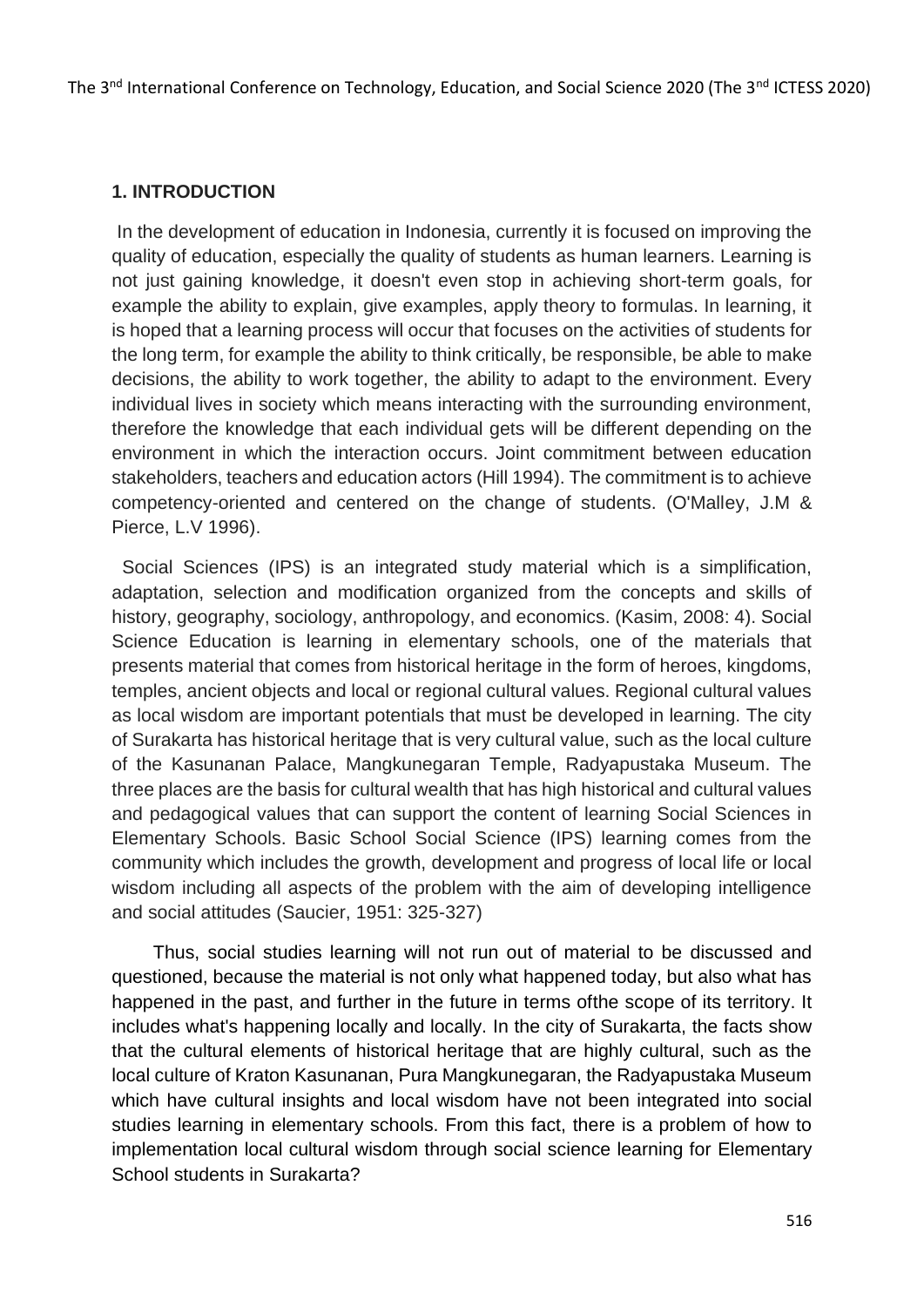The 3<sup>nd</sup> International Conference on Technology, Education, and Social Science 2020 (The 3<sup>nd</sup> ICTESS 2020)

#### **1. INTRODUCTION**

In the development of education in Indonesia, currently it is focused on improving the quality of education, especially the quality of students as human learners. Learning is not just gaining knowledge, it doesn't even stop in achieving short-term goals, for example the ability to explain, give examples, apply theory to formulas. In learning, it is hoped that a learning process will occur that focuses on the activities of students for the long term, for example the ability to think critically, be responsible, be able to make decisions, the ability to work together, the ability to adapt to the environment. Every individual lives in society which means interacting with the surrounding environment, therefore the knowledge that each individual gets will be different depending on the environment in which the interaction occurs. Joint commitment between education stakeholders, teachers and education actors (Hill 1994). The commitment is to achieve competency-oriented and centered on the change of students. (O'Malley, J.M & Pierce, L.V 1996).

 Social Sciences (IPS) is an integrated study material which is a simplification, adaptation, selection and modification organized from the concepts and skills of history, geography, sociology, anthropology, and economics. (Kasim, 2008: 4). Social Science Education is learning in elementary schools, one of the materials that presents material that comes from historical heritage in the form of heroes, kingdoms, temples, ancient objects and local or regional cultural values. Regional cultural values as local wisdom are important potentials that must be developed in learning. The city of Surakarta has historical heritage that is very cultural value, such as the local culture of the Kasunanan Palace, Mangkunegaran Temple, Radyapustaka Museum. The three places are the basis for cultural wealth that has high historical and cultural values and pedagogical values that can support the content of learning Social Sciences in Elementary Schools. Basic School Social Science (IPS) learning comes from the community which includes the growth, development and progress of local life or local wisdom including all aspects of the problem with the aim of developing intelligence and social attitudes (Saucier, 1951: 325-327)

 Thus, social studies learning will not run out of material to be discussed and questioned, because the material is not only what happened today, but also what has happened in the past, and further in the future in terms ofthe scope of its territory. It includes what's happening locally and locally. In the city of Surakarta, the facts show that the cultural elements of historical heritage that are highly cultural, such as the local culture of Kraton Kasunanan, Pura Mangkunegaran, the Radyapustaka Museum which have cultural insights and local wisdom have not been integrated into social studies learning in elementary schools. From this fact, there is a problem of how to implementation local cultural wisdom through social science learning for Elementary School students in Surakarta?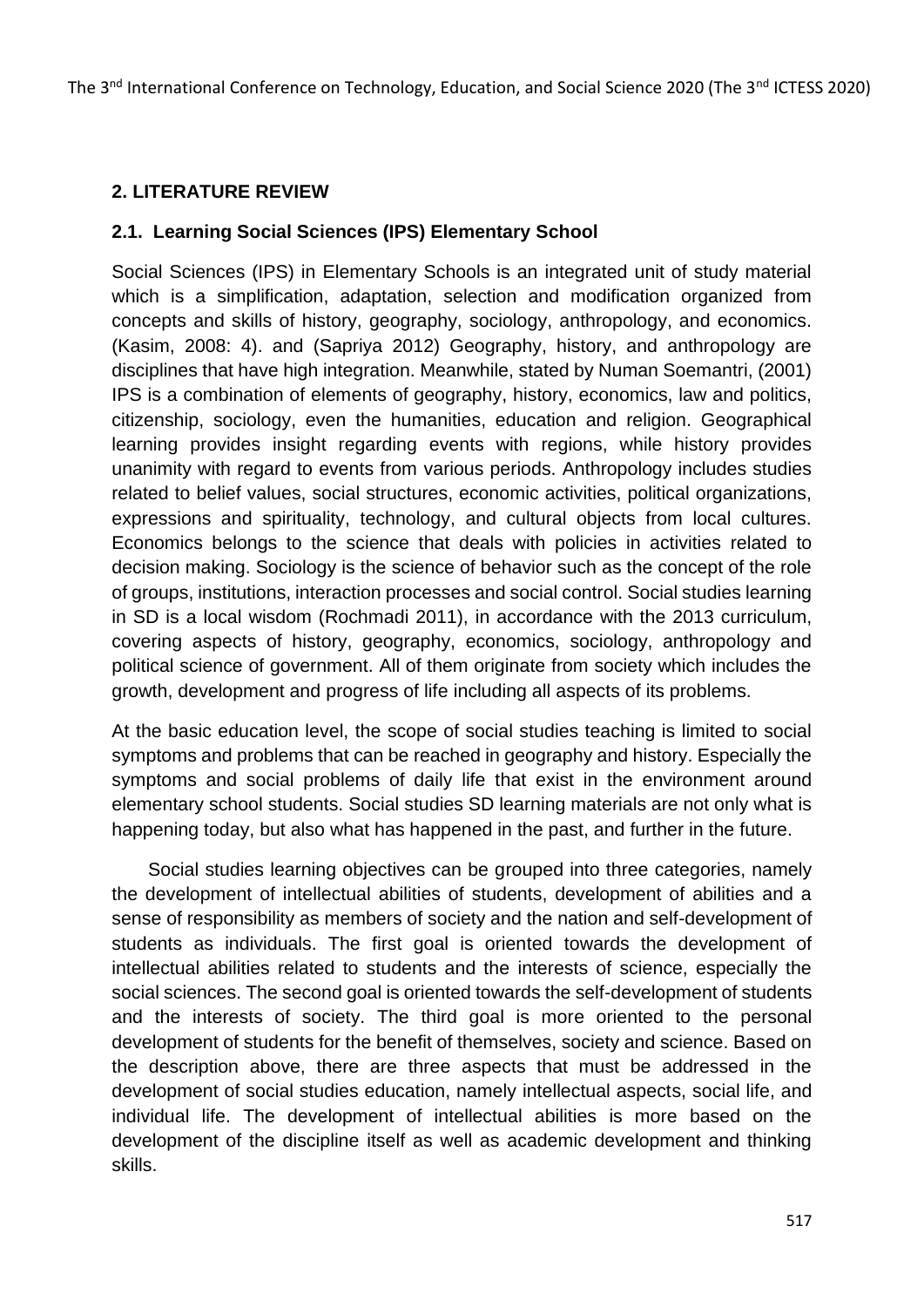# **2. LITERATURE REVIEW**

#### **2.1. Learning Social Sciences (IPS) Elementary School**

Social Sciences (IPS) in Elementary Schools is an integrated unit of study material which is a simplification, adaptation, selection and modification organized from concepts and skills of history, geography, sociology, anthropology, and economics. (Kasim, 2008: 4). and (Sapriya 2012) Geography, history, and anthropology are disciplines that have high integration. Meanwhile, stated by Numan Soemantri, (2001) IPS is a combination of elements of geography, history, economics, law and politics, citizenship, sociology, even the humanities, education and religion. Geographical learning provides insight regarding events with regions, while history provides unanimity with regard to events from various periods. Anthropology includes studies related to belief values, social structures, economic activities, political organizations, expressions and spirituality, technology, and cultural objects from local cultures. Economics belongs to the science that deals with policies in activities related to decision making. Sociology is the science of behavior such as the concept of the role of groups, institutions, interaction processes and social control. Social studies learning in SD is a local wisdom (Rochmadi 2011), in accordance with the 2013 curriculum, covering aspects of history, geography, economics, sociology, anthropology and political science of government. All of them originate from society which includes the growth, development and progress of life including all aspects of its problems.

At the basic education level, the scope of social studies teaching is limited to social symptoms and problems that can be reached in geography and history. Especially the symptoms and social problems of daily life that exist in the environment around elementary school students. Social studies SD learning materials are not only what is happening today, but also what has happened in the past, and further in the future.

 Social studies learning objectives can be grouped into three categories, namely the development of intellectual abilities of students, development of abilities and a sense of responsibility as members of society and the nation and self-development of students as individuals. The first goal is oriented towards the development of intellectual abilities related to students and the interests of science, especially the social sciences. The second goal is oriented towards the self-development of students and the interests of society. The third goal is more oriented to the personal development of students for the benefit of themselves, society and science. Based on the description above, there are three aspects that must be addressed in the development of social studies education, namely intellectual aspects, social life, and individual life. The development of intellectual abilities is more based on the development of the discipline itself as well as academic development and thinking skills.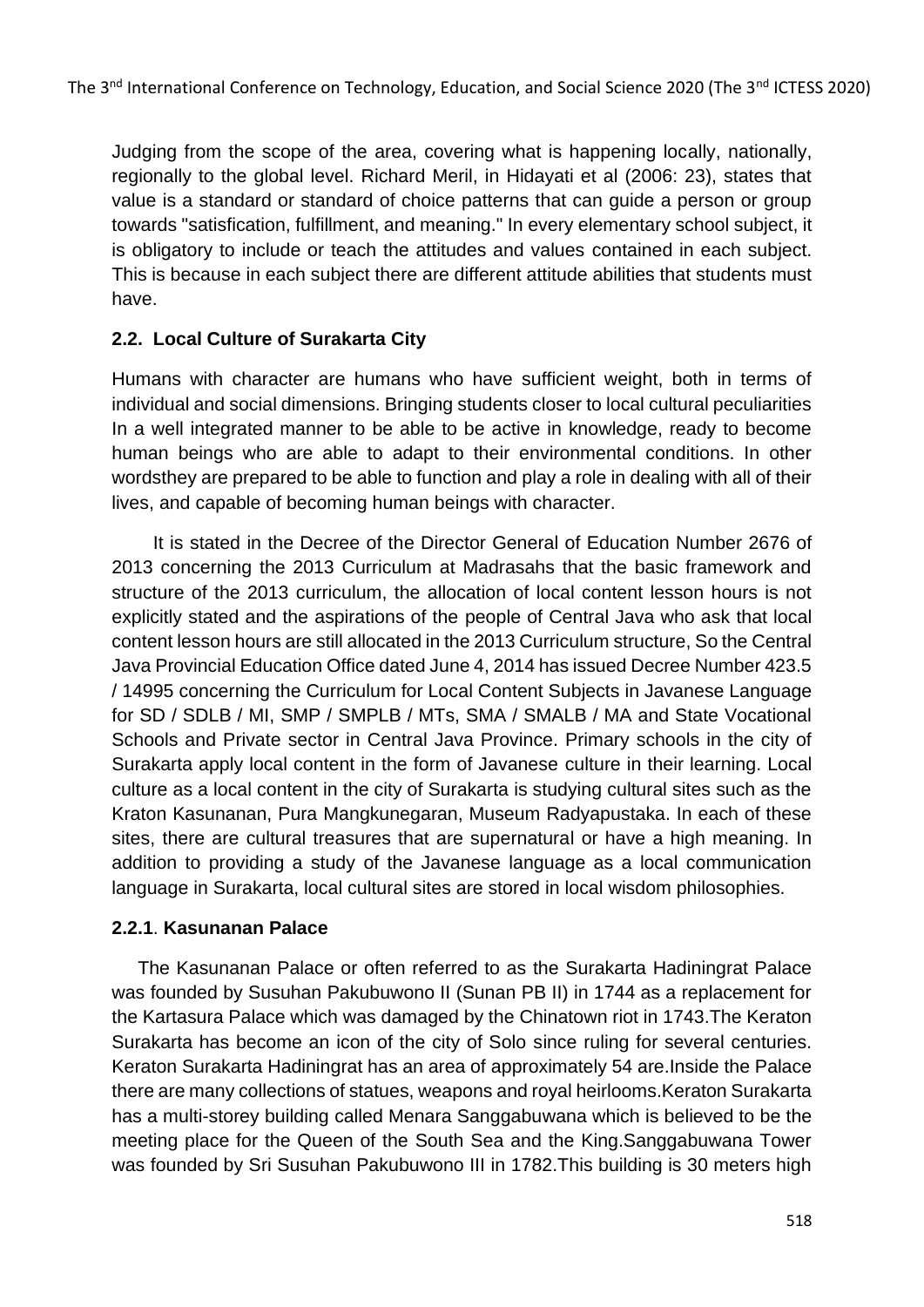Judging from the scope of the area, covering what is happening locally, nationally, regionally to the global level. Richard Meril, in Hidayati et al (2006: 23), states that value is a standard or standard of choice patterns that can guide a person or group towards "satisfication, fulfillment, and meaning." In every elementary school subject, it is obligatory to include or teach the attitudes and values contained in each subject. This is because in each subject there are different attitude abilities that students must have.

# **2.2. Local Culture of Surakarta City**

Humans with character are humans who have sufficient weight, both in terms of individual and social dimensions. Bringing students closer to local cultural peculiarities In a well integrated manner to be able to be active in knowledge, ready to become human beings who are able to adapt to their environmental conditions. In other wordsthey are prepared to be able to function and play a role in dealing with all of their lives, and capable of becoming human beings with character.

 It is stated in the Decree of the Director General of Education Number 2676 of 2013 concerning the 2013 Curriculum at Madrasahs that the basic framework and structure of the 2013 curriculum, the allocation of local content lesson hours is not explicitly stated and the aspirations of the people of Central Java who ask that local content lesson hours are still allocated in the 2013 Curriculum structure, So the Central Java Provincial Education Office dated June 4, 2014 has issued Decree Number 423.5 / 14995 concerning the Curriculum for Local Content Subjects in Javanese Language for SD / SDLB / MI, SMP / SMPLB / MTs, SMA / SMALB / MA and State Vocational Schools and Private sector in Central Java Province. Primary schools in the city of Surakarta apply local content in the form of Javanese culture in their learning. Local culture as a local content in the city of Surakarta is studying cultural sites such as the Kraton Kasunanan, Pura Mangkunegaran, Museum Radyapustaka. In each of these sites, there are cultural treasures that are supernatural or have a high meaning. In addition to providing a study of the Javanese language as a local communication language in Surakarta, local cultural sites are stored in local wisdom philosophies.

### **2.2.1**. **Kasunanan Palace**

 The Kasunanan Palace or often referred to as the Surakarta Hadiningrat Palace was founded by Susuhan Pakubuwono II (Sunan PB II) in 1744 as a replacement for the Kartasura Palace which was damaged by the Chinatown riot in 1743.The Keraton Surakarta has become an icon of the city of Solo since ruling for several centuries. Keraton Surakarta Hadiningrat has an area of approximately 54 are.Inside the Palace there are many collections of statues, weapons and royal heirlooms.Keraton Surakarta has a multi-storey building called Menara Sanggabuwana which is believed to be the meeting place for the Queen of the South Sea and the King.Sanggabuwana Tower was founded by Sri Susuhan Pakubuwono III in 1782.This building is 30 meters high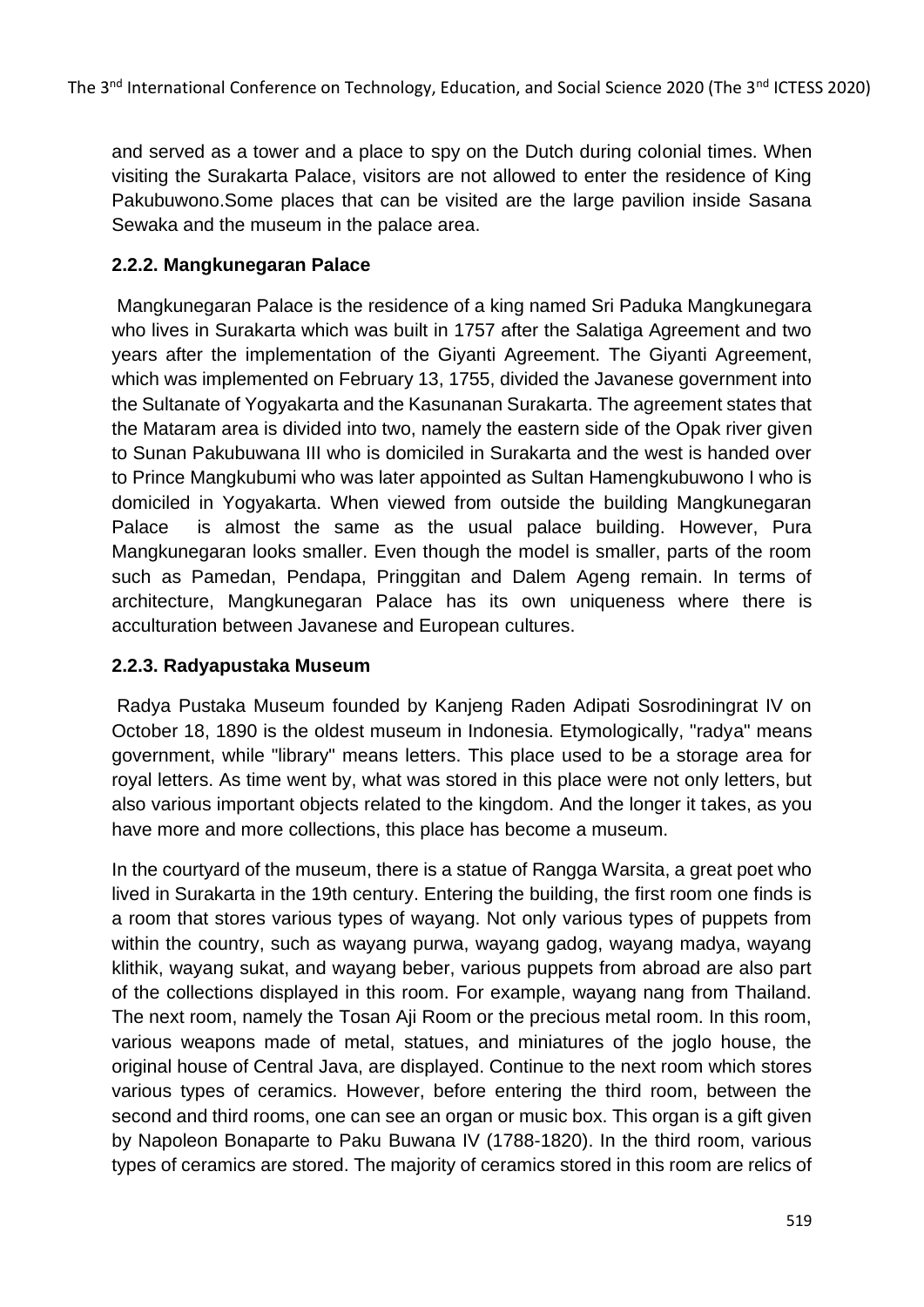and served as a tower and a place to spy on the Dutch during colonial times. When visiting the Surakarta Palace, visitors are not allowed to enter the residence of King Pakubuwono.Some places that can be visited are the large pavilion inside Sasana Sewaka and the museum in the palace area.

## **2.2.2. Mangkunegaran Palace**

Mangkunegaran Palace is the residence of a king named Sri Paduka Mangkunegara who lives in Surakarta which was built in 1757 after the Salatiga Agreement and two years after the implementation of the Giyanti Agreement. The Giyanti Agreement, which was implemented on February 13, 1755, divided the Javanese government into the Sultanate of Yogyakarta and the Kasunanan Surakarta. The agreement states that the Mataram area is divided into two, namely the eastern side of the Opak river given to Sunan Pakubuwana III who is domiciled in Surakarta and the west is handed over to Prince Mangkubumi who was later appointed as Sultan Hamengkubuwono I who is domiciled in Yogyakarta. When viewed from outside the building Mangkunegaran Palace is almost the same as the usual palace building. However, Pura Mangkunegaran looks smaller. Even though the model is smaller, parts of the room such as Pamedan, Pendapa, Pringgitan and Dalem Ageng remain. In terms of architecture, Mangkunegaran Palace has its own uniqueness where there is acculturation between Javanese and European cultures.

### **2.2.3. Radyapustaka Museum**

Radya Pustaka Museum founded by Kanjeng Raden Adipati Sosrodiningrat IV on October 18, 1890 is the oldest museum in Indonesia. Etymologically, "radya" means government, while "library" means letters. This place used to be a storage area for royal letters. As time went by, what was stored in this place were not only letters, but also various important objects related to the kingdom. And the longer it takes, as you have more and more collections, this place has become a museum.

In the courtyard of the museum, there is a statue of Rangga Warsita, a great poet who lived in Surakarta in the 19th century. Entering the building, the first room one finds is a room that stores various types of wayang. Not only various types of puppets from within the country, such as wayang purwa, wayang gadog, wayang madya, wayang klithik, wayang sukat, and wayang beber, various puppets from abroad are also part of the collections displayed in this room. For example, wayang nang from Thailand. The next room, namely the Tosan Aji Room or the precious metal room. In this room, various weapons made of metal, statues, and miniatures of the joglo house, the original house of Central Java, are displayed. Continue to the next room which stores various types of ceramics. However, before entering the third room, between the second and third rooms, one can see an organ or music box. This organ is a gift given by Napoleon Bonaparte to Paku Buwana IV (1788-1820). In the third room, various types of ceramics are stored. The majority of ceramics stored in this room are relics of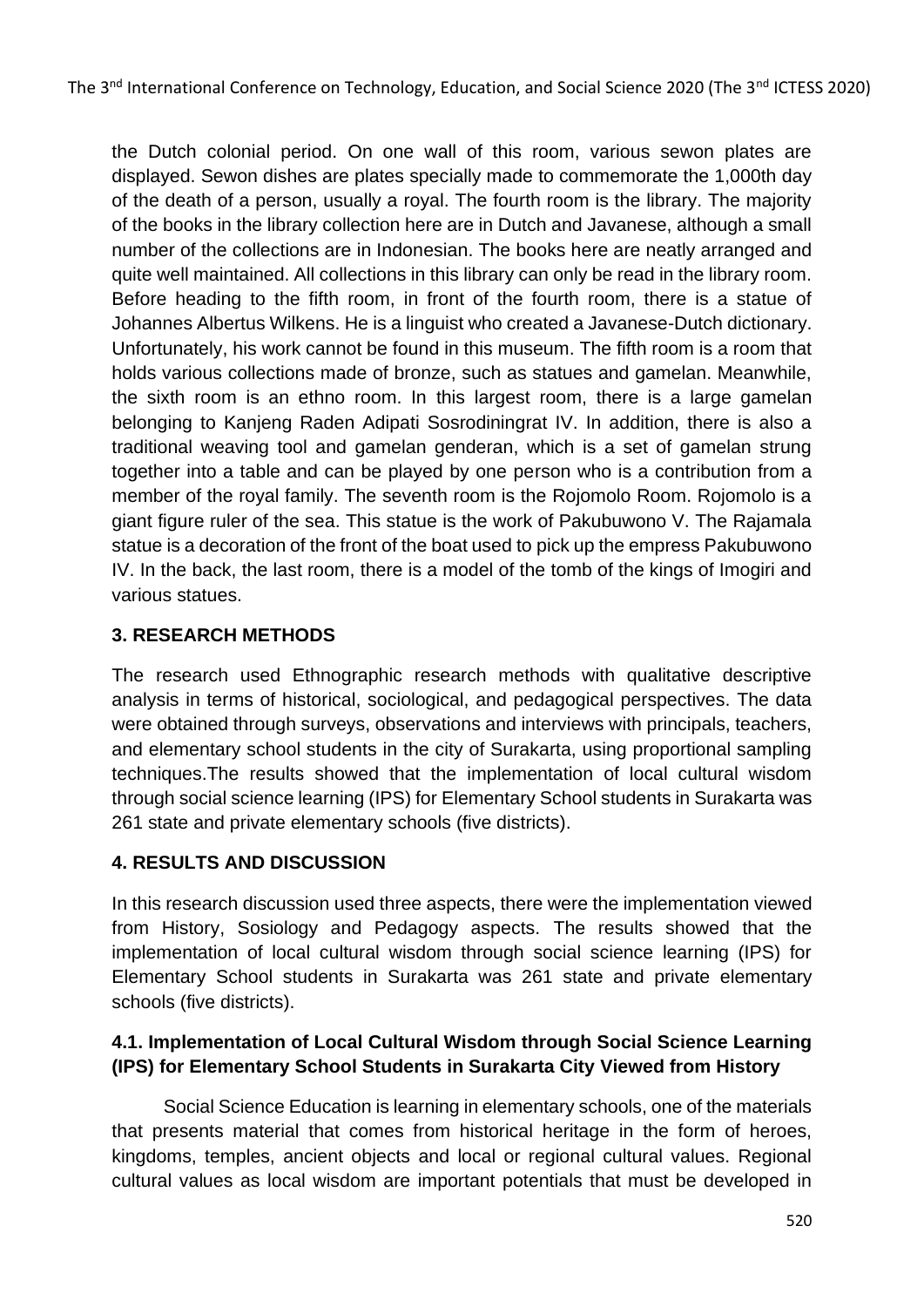the Dutch colonial period. On one wall of this room, various sewon plates are displayed. Sewon dishes are plates specially made to commemorate the 1,000th day of the death of a person, usually a royal. The fourth room is the library. The majority of the books in the library collection here are in Dutch and Javanese, although a small number of the collections are in Indonesian. The books here are neatly arranged and quite well maintained. All collections in this library can only be read in the library room. Before heading to the fifth room, in front of the fourth room, there is a statue of Johannes Albertus Wilkens. He is a linguist who created a Javanese-Dutch dictionary. Unfortunately, his work cannot be found in this museum. The fifth room is a room that holds various collections made of bronze, such as statues and gamelan. Meanwhile, the sixth room is an ethno room. In this largest room, there is a large gamelan belonging to Kanjeng Raden Adipati Sosrodiningrat IV. In addition, there is also a traditional weaving tool and gamelan genderan, which is a set of gamelan strung together into a table and can be played by one person who is a contribution from a member of the royal family. The seventh room is the Rojomolo Room. Rojomolo is a giant figure ruler of the sea. This statue is the work of Pakubuwono V. The Rajamala statue is a decoration of the front of the boat used to pick up the empress Pakubuwono IV. In the back, the last room, there is a model of the tomb of the kings of Imogiri and various statues.

# **3. RESEARCH METHODS**

The research used Ethnographic research methods with qualitative descriptive analysis in terms of historical, sociological, and pedagogical perspectives. The data were obtained through surveys, observations and interviews with principals, teachers, and elementary school students in the city of Surakarta, using proportional sampling techniques.The results showed that the implementation of local cultural wisdom through social science learning (IPS) for Elementary School students in Surakarta was 261 state and private elementary schools (five districts).

### **4. RESULTS AND DISCUSSION**

In this research discussion used three aspects, there were the implementation viewed from History, Sosiology and Pedagogy aspects. The results showed that the implementation of local cultural wisdom through social science learning (IPS) for Elementary School students in Surakarta was 261 state and private elementary schools (five districts).

# **4.1. Implementation of Local Cultural Wisdom through Social Science Learning (IPS) for Elementary School Students in Surakarta City Viewed from History**

 Social Science Education is learning in elementary schools, one of the materials that presents material that comes from historical heritage in the form of heroes, kingdoms, temples, ancient objects and local or regional cultural values. Regional cultural values as local wisdom are important potentials that must be developed in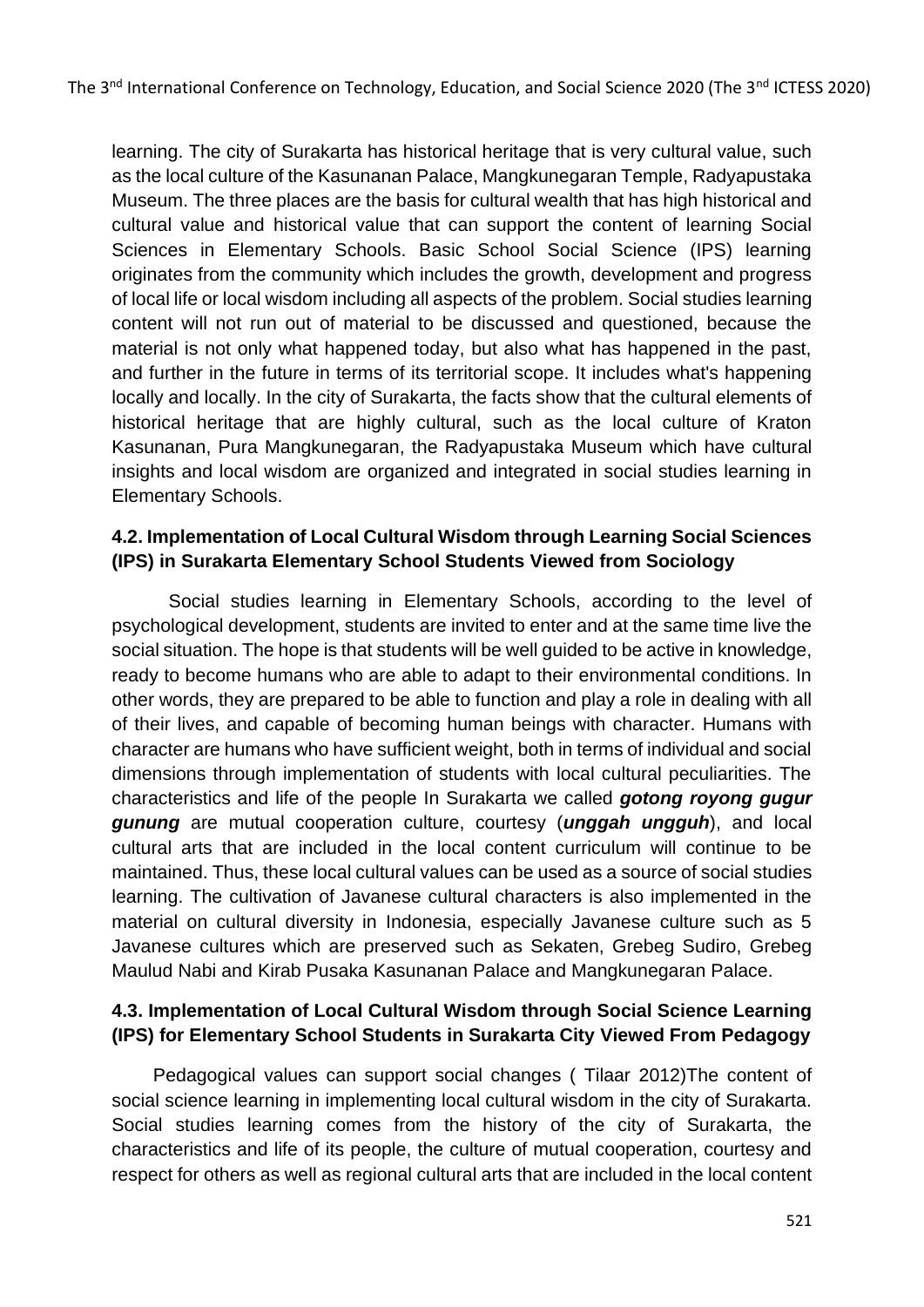learning. The city of Surakarta has historical heritage that is very cultural value, such as the local culture of the Kasunanan Palace, Mangkunegaran Temple, Radyapustaka Museum. The three places are the basis for cultural wealth that has high historical and cultural value and historical value that can support the content of learning Social Sciences in Elementary Schools. Basic School Social Science (IPS) learning originates from the community which includes the growth, development and progress of local life or local wisdom including all aspects of the problem. Social studies learning content will not run out of material to be discussed and questioned, because the material is not only what happened today, but also what has happened in the past, and further in the future in terms of its territorial scope. It includes what's happening locally and locally. In the city of Surakarta, the facts show that the cultural elements of historical heritage that are highly cultural, such as the local culture of Kraton Kasunanan, Pura Mangkunegaran, the Radyapustaka Museum which have cultural insights and local wisdom are organized and integrated in social studies learning in Elementary Schools.

# **4.2. Implementation of Local Cultural Wisdom through Learning Social Sciences (IPS) in Surakarta Elementary School Students Viewed from Sociology**

 Social studies learning in Elementary Schools, according to the level of psychological development, students are invited to enter and at the same time live the social situation. The hope is that students will be well guided to be active in knowledge, ready to become humans who are able to adapt to their environmental conditions. In other words, they are prepared to be able to function and play a role in dealing with all of their lives, and capable of becoming human beings with character. Humans with character are humans who have sufficient weight, both in terms of individual and social dimensions through implementation of students with local cultural peculiarities. The characteristics and life of the people In Surakarta we called *gotong royong gugur gunung* are mutual cooperation culture, courtesy (*unggah ungguh*), and local cultural arts that are included in the local content curriculum will continue to be maintained. Thus, these local cultural values can be used as a source of social studies learning. The cultivation of Javanese cultural characters is also implemented in the material on cultural diversity in Indonesia, especially Javanese culture such as 5 Javanese cultures which are preserved such as Sekaten, Grebeg Sudiro, Grebeg Maulud Nabi and Kirab Pusaka Kasunanan Palace and Mangkunegaran Palace.

### **4.3. Implementation of Local Cultural Wisdom through Social Science Learning (IPS) for Elementary School Students in Surakarta City Viewed From Pedagogy**

 Pedagogical values can support social changes ( Tilaar 2012)The content of social science learning in implementing local cultural wisdom in the city of Surakarta. Social studies learning comes from the history of the city of Surakarta, the characteristics and life of its people, the culture of mutual cooperation, courtesy and respect for others as well as regional cultural arts that are included in the local content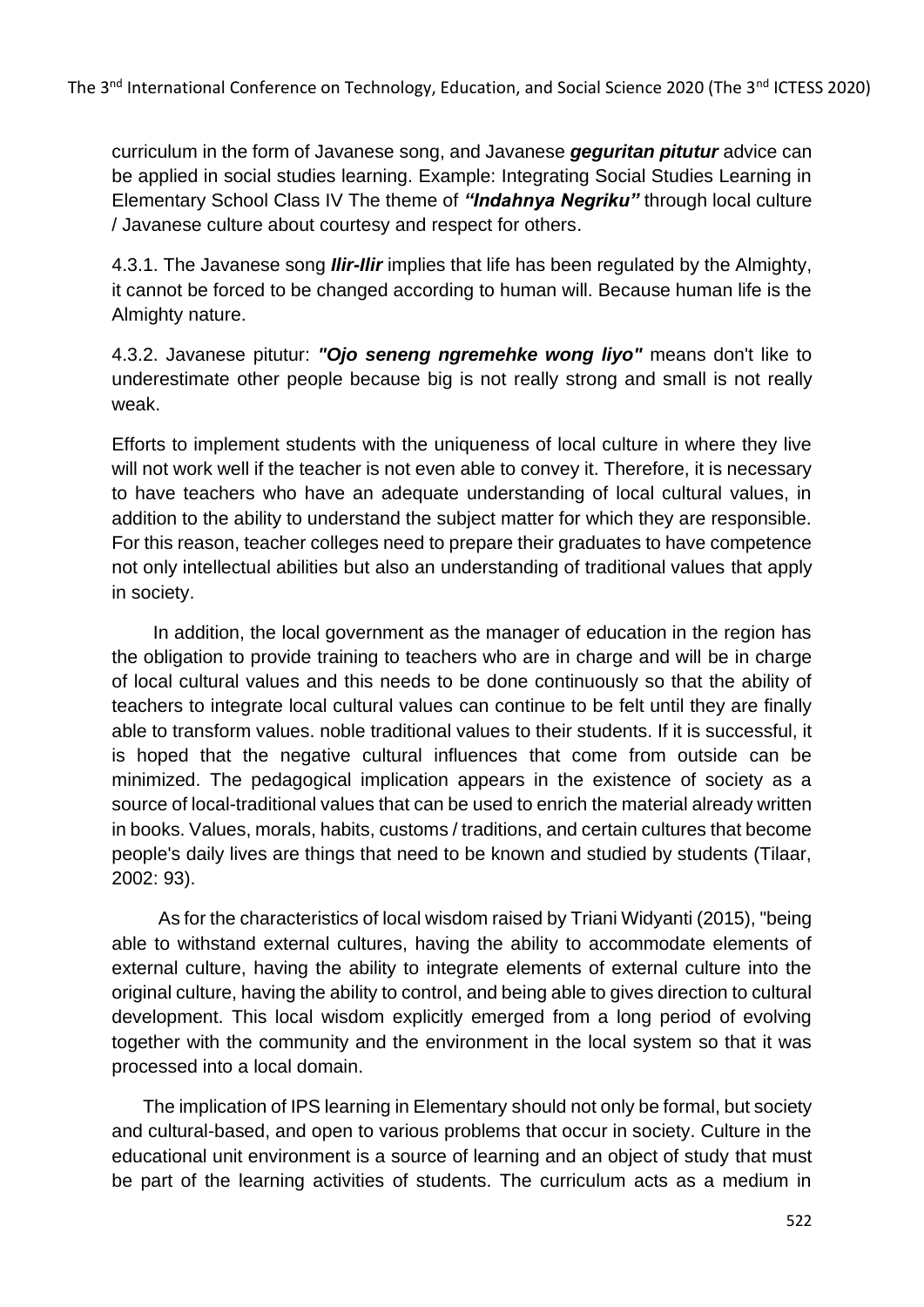curriculum in the form of Javanese song, and Javanese *geguritan pitutur* advice can be applied in social studies learning. Example: Integrating Social Studies Learning in Elementary School Class IV The theme of *"Indahnya Negriku"* through local culture / Javanese culture about courtesy and respect for others.

4.3.1. The Javanese song *Ilir-Ilir* implies that life has been regulated by the Almighty, it cannot be forced to be changed according to human will. Because human life is the Almighty nature.

4.3.2. Javanese pitutur: *"Ojo seneng ngremehke wong liyo"* means don't like to underestimate other people because big is not really strong and small is not really weak.

Efforts to implement students with the uniqueness of local culture in where they live will not work well if the teacher is not even able to convey it. Therefore, it is necessary to have teachers who have an adequate understanding of local cultural values, in addition to the ability to understand the subject matter for which they are responsible. For this reason, teacher colleges need to prepare their graduates to have competence not only intellectual abilities but also an understanding of traditional values that apply in society.

 In addition, the local government as the manager of education in the region has the obligation to provide training to teachers who are in charge and will be in charge of local cultural values and this needs to be done continuously so that the ability of teachers to integrate local cultural values can continue to be felt until they are finally able to transform values. noble traditional values to their students. If it is successful, it is hoped that the negative cultural influences that come from outside can be minimized. The pedagogical implication appears in the existence of society as a source of local-traditional values that can be used to enrich the material already written in books. Values, morals, habits, customs / traditions, and certain cultures that become people's daily lives are things that need to be known and studied by students (Tilaar, 2002: 93).

 As for the characteristics of local wisdom raised by Triani Widyanti (2015), "being able to withstand external cultures, having the ability to accommodate elements of external culture, having the ability to integrate elements of external culture into the original culture, having the ability to control, and being able to gives direction to cultural development. This local wisdom explicitly emerged from a long period of evolving together with the community and the environment in the local system so that it was processed into a local domain.

 The implication of IPS learning in Elementary should not only be formal, but society and cultural-based, and open to various problems that occur in society. Culture in the educational unit environment is a source of learning and an object of study that must be part of the learning activities of students. The curriculum acts as a medium in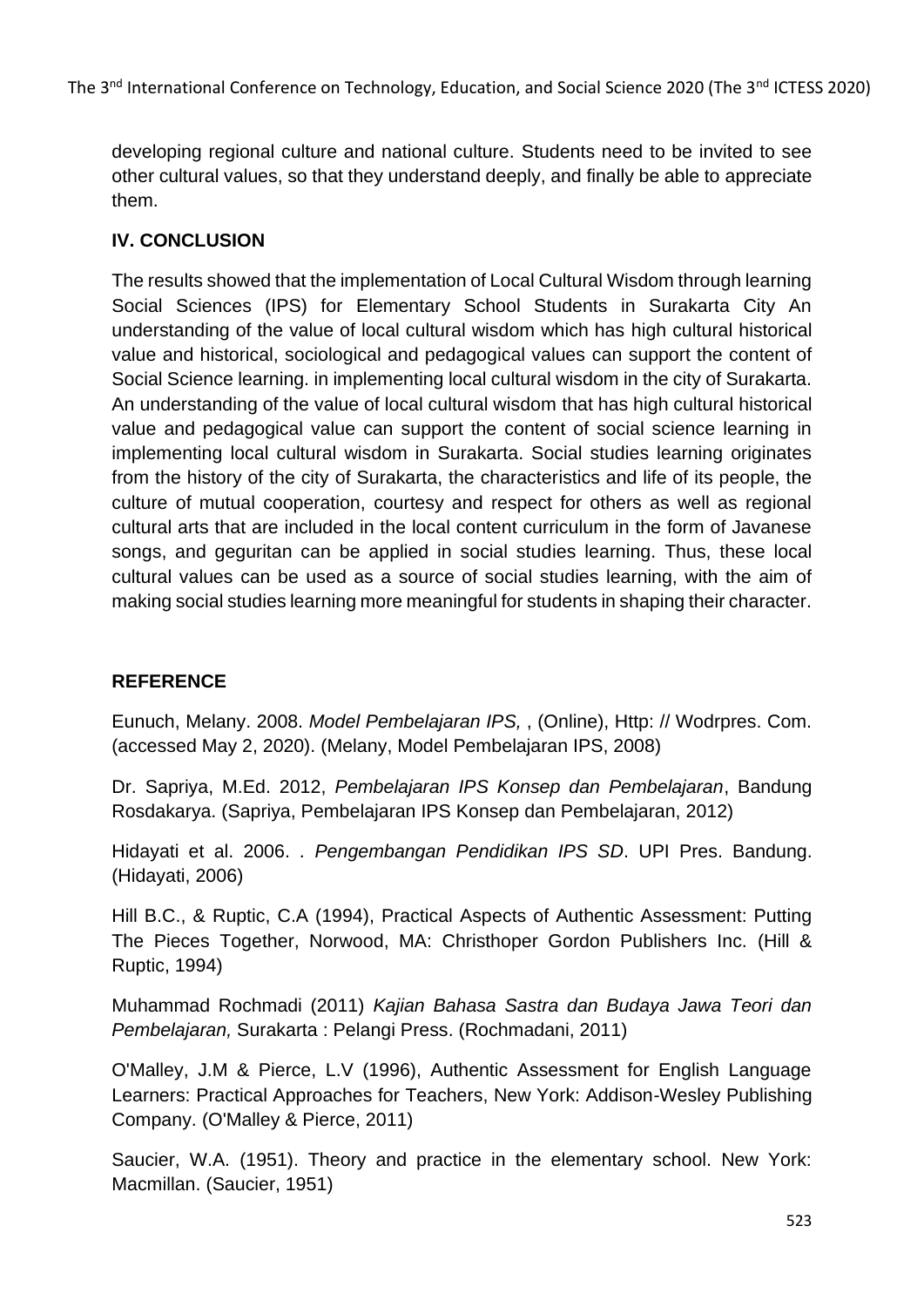developing regional culture and national culture. Students need to be invited to see other cultural values, so that they understand deeply, and finally be able to appreciate them.

# **IV. CONCLUSION**

The results showed that the implementation of Local Cultural Wisdom through learning Social Sciences (IPS) for Elementary School Students in Surakarta City An understanding of the value of local cultural wisdom which has high cultural historical value and historical, sociological and pedagogical values can support the content of Social Science learning. in implementing local cultural wisdom in the city of Surakarta. An understanding of the value of local cultural wisdom that has high cultural historical value and pedagogical value can support the content of social science learning in implementing local cultural wisdom in Surakarta. Social studies learning originates from the history of the city of Surakarta, the characteristics and life of its people, the culture of mutual cooperation, courtesy and respect for others as well as regional cultural arts that are included in the local content curriculum in the form of Javanese songs, and geguritan can be applied in social studies learning. Thus, these local cultural values can be used as a source of social studies learning, with the aim of making social studies learning more meaningful for students in shaping their character.

### **REFERENCE**

Eunuch, Melany. 2008. *Model Pembelajaran IPS,* , (Online), Http: // Wodrpres. Com. (accessed May 2, 2020). (Melany, Model Pembelajaran IPS, 2008)

Dr. Sapriya, M.Ed. 2012, *Pembelajaran IPS Konsep dan Pembelajaran*, Bandung Rosdakarya. (Sapriya, Pembelajaran IPS Konsep dan Pembelajaran, 2012)

Hidayati et al. 2006. . *Pengembangan Pendidikan IPS SD*. UPI Pres. Bandung. (Hidayati, 2006)

Hill B.C., & Ruptic, C.A (1994), Practical Aspects of Authentic Assessment: Putting The Pieces Together, Norwood, MA: Christhoper Gordon Publishers Inc. (Hill & Ruptic, 1994)

Muhammad Rochmadi (2011) *Kajian Bahasa Sastra dan Budaya Jawa Teori dan Pembelajaran,* Surakarta : Pelangi Press. (Rochmadani, 2011)

O'Malley, J.M & Pierce, L.V (1996), Authentic Assessment for English Language Learners: Practical Approaches for Teachers, New York: Addison-Wesley Publishing Company. (O'Malley & Pierce, 2011)

Saucier, W.A. (1951). Theory and practice in the elementary school. New York: Macmillan. (Saucier, 1951)